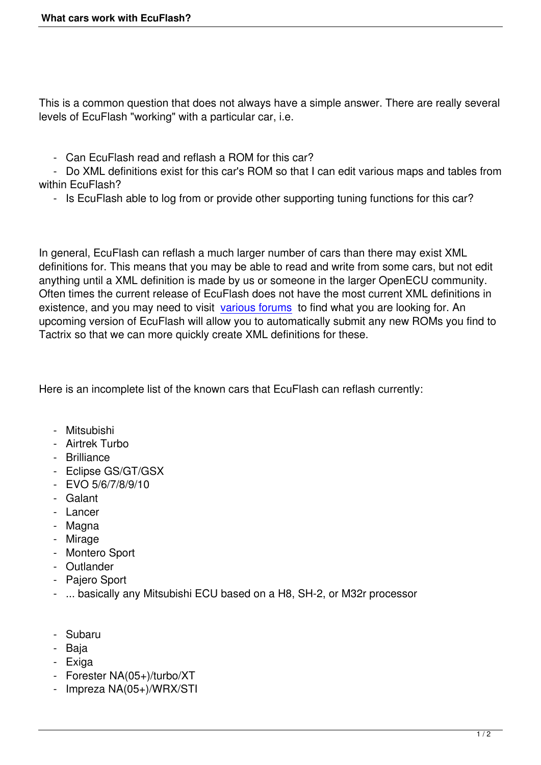This is a common question that does not always have a simple answer. There are really several levels of EcuFlash "working" with a particular car, i.e.

- Can EcuFlash read and reflash a ROM for this car?

 - Do XML definitions exist for this car's ROM so that I can edit various maps and tables from within EcuFlash?

- Is EcuFlash able to log from or provide other supporting tuning functions for this car?

In general, EcuFlash can reflash a much larger number of cars than there may exist XML definitions for. This means that you may be able to read and write from some cars, but not edit anything until a XML definition is made by us or someone in the larger OpenECU community. Often times the current release of EcuFlash does not have the most current XML definitions in existence, and you may need to visit various forums to find what you are looking for. An upcoming version of EcuFlash will allow you to automatically submit any new ROMs you find to Tactrix so that we can more quickly create XML definitions for these.

Here is an incomplete list of the known cars that EcuFlash can reflash currently:

- Mitsubishi
- Airtrek Turbo
- Brilliance
- Eclipse GS/GT/GSX
- $-$  FVO 5/6/7/8/9/10
- Galant
- Lancer
- Magna
- Mirage
- Montero Sport
- Outlander
- Pajero Sport
- ... basically any Mitsubishi ECU based on a H8, SH-2, or M32r processor
- Subaru
- Baja
- Exiga
- Forester NA(05+)/turbo/XT
- Impreza NA(05+)/WRX/STI